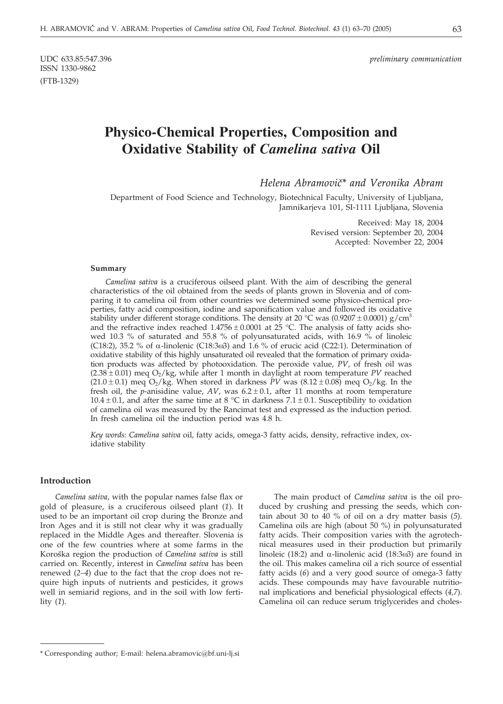# **Physico-Chemical Properties, Composition and Oxidative Stability of** *Camelina sativa* **Oil**

*Helena Abramovi~\* and Veronika Abram*

Department of Food Science and Technology, Biotechnical Faculty, University of Ljubljana, Jamnikarjeva 101, SI-1111 Ljubljana, Slovenia

> Received: May 18, 2004 Revised version: September 20, 2004 Accepted: November 22, 2004

#### **Summary**

*Camelina sativa* is a cruciferous oilseed plant. With the aim of describing the general characteristics of the oil obtained from the seeds of plants grown in Slovenia and of comparing it to camelina oil from other countries we determined some physico-chemical properties, fatty acid composition, iodine and saponification value and followed its oxidative stability under different storage conditions. The density at 20 °C was (0.9207  $\pm$  0.0001) g/cm<sup>3</sup> and the refractive index reached  $1.4756 \pm 0.0001$  at 25 °C. The analysis of fatty acids showed 10.3 % of saturated and 55.8 % of polyunsaturated acids, with 16.9 % of linoleic (C18:2), 35.2 % of  $\alpha$ -linolenic (C18:3 $\omega$ 3) and 1.6 % of erucic acid (C22:1). Determination of oxidative stability of this highly unsaturated oil revealed that the formation of primary oxidation products was affected by photooxidation. The peroxide value, *PV*, of fresh oil was  $(2.38 \pm 0.01)$  meq  $O_2$ /kg, while after 1 month in daylight at room temperature *PV* reached  $(21.0 \pm 0.1)$  meq  $O_2/kg$ . When stored in darkness *PV* was  $(8.12 \pm 0.08)$  meq  $O_2/kg$ . In the fresh oil, the *p*-anisidine value,  $AV$ , was  $6.2 \pm 0.1$ , after 11 months at room temperature 10.4  $\pm$  0.1, and after the same time at 8 °C in darkness 7.1  $\pm$  0.1. Susceptibility to oxidation of camelina oil was measured by the Rancimat test and expressed as the induction period. In fresh camelina oil the induction period was 4.8 h.

*Key words: Camelina sativa* oil*,* fatty acids, omega-3 fatty acids, density, refractive index, oxidative stability

# **Introduction**

*Camelina sativa*, with the popular names false flax or gold of pleasure, is a cruciferous oilseed plant (*1*). It used to be an important oil crop during the Bronze and Iron Ages and it is still not clear why it was gradually replaced in the Middle Ages and thereafter. Slovenia is one of the few countries where at some farms in the Koroška region the production of *Camelina sativa* is still carried on. Recently, interest in *Camelina sativa* has been renewed (*2–4*) due to the fact that the crop does not require high inputs of nutrients and pesticides, it grows well in semiarid regions, and in the soil with low fertility (*1*).

The main product of *Camelina sativa* is the oil produced by crushing and pressing the seeds, which contain about 30 to 40 % of oil on a dry matter basis (*5*). Camelina oils are high (about 50 %) in polyunsaturated fatty acids. Their composition varies with the agrotechnical measures used in their production but primarily linoleic (18:2) and  $\alpha$ -linolenic acid (18:3 $\omega$ 3) are found in the oil. This makes camelina oil a rich source of essential fatty acids (*6*) and a very good source of omega-3 fatty acids. These compounds may have favourable nutritional implications and beneficial physiological effects (*4,7*). Camelina oil can reduce serum triglycerides and choles-

<sup>\*</sup> Corresponding author; E-mail: helena.abramovic@bf.uni-lj.si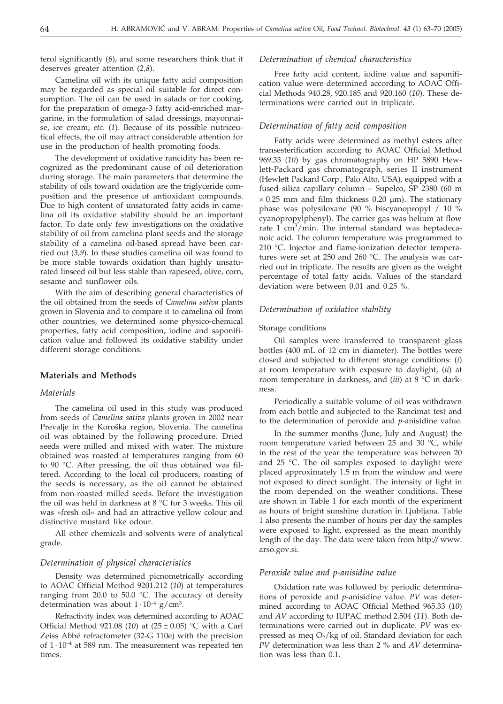terol significantly (*6*), and some researchers think that it deserves greater attention (*2,8*).

Camelina oil with its unique fatty acid composition may be regarded as special oil suitable for direct consumption. The oil can be used in salads or for cooking, for the preparation of omega-3 fatty acid-enriched margarine, in the formulation of salad dressings, mayonnaise, ice cream, *etc*. (*1*). Because of its possible nutriceutical effects, the oil may attract considerable attention for use in the production of health promoting foods.

The development of oxidative rancidity has been recognized as the predominant cause of oil deterioration during storage. The main parameters that determine the stability of oils toward oxidation are the triglyceride composition and the presence of antioxidant compounds. Due to high content of unsaturated fatty acids in camelina oil its oxidative stability should be an important factor. To date only few investigations on the oxidative stability of oil from camelina plant seeds and the storage stability of a camelina oil-based spread have been carried out (*3,9*). In these studies camelina oil was found to be more stable towards oxidation than highly unsaturated linseed oil but less stable than rapeseed, olive, corn, sesame and sunflower oils.

With the aim of describing general characteristics of the oil obtained from the seeds of C*amelina sativa* plants grown in Slovenia and to compare it to camelina oil from other countries, we determined some physico-chemical properties, fatty acid composition, iodine and saponification value and followed its oxidative stability under different storage conditions.

# **Materials and Methods**

# *Materials*

The camelina oil used in this study was produced from seeds of *Camelina sativa* plants grown in 2002 near Prevalje in the Koroška region, Slovenia. The camelina oil was obtained by the following procedure. Dried seeds were milled and mixed with water. The mixture obtained was roasted at temperatures ranging from 60 to 90 °C. After pressing, the oil thus obtained was filtered. According to the local oil producers, roasting of the seeds is necessary, as the oil cannot be obtained from non-roasted milled seeds. Before the investigation the oil was held in darkness at 8 °C for 3 weeks. This oil was »fresh oil« and had an attractive yellow colour and distinctive mustard like odour.

All other chemicals and solvents were of analytical grade.

# *Determination of physical characteristics*

Density was determined picnometrically according to AOAC Official Method 9201.212 (*10*) at temperatures ranging from 20.0 to 50.0 °C. The accuracy of density determination was about  $1 \cdot 10^{-4}$  g/cm<sup>3</sup>.

Refractivity index was determined according to AOAC Official Method 921.08 (10) at  $(25 \pm 0.05)$  °C with a Carl Zeiss Abbé refractometer (32-G 110e) with the precision of  $1 \cdot 10^{-4}$  at 589 nm. The measurement was repeated ten times.

#### *Determination of chemical characteristics*

Free fatty acid content, iodine value and saponification value were determined according to AOAC Official Methods 940.28, 920.185 and 920.160 (*10*). These determinations were carried out in triplicate.

#### *Determination of fatty acid composition*

Fatty acids were determined as methyl esters after transesterification according to AOAC Official Method 969.33 (*10*) by gas chromatography on HP 5890 Hewlett-Packard gas chromatograph, series II instrument (Hewlett Packard Corp., Palo Alto, USA), equipped with a fused silica capillary column – Supelco, SP 2380 (60 m  $\times$  0.25 mm and film thickness 0.20  $\mu$ m). The stationary phase was polysiloxane (90 % biscyanopropyl / 10 % cyanopropylphenyl). The carrier gas was helium at flow rate 1 cm<sup>3</sup>/min. The internal standard was heptadecanoic acid. The column temperature was programmed to 210 °C. Injector and flame-ionization detector temperatures were set at 250 and 260 °C. The analysis was carried out in triplicate. The results are given as the weight percentage of total fatty acids. Values of the standard deviation were between 0.01 and 0.25 %.

# *Determination of oxidative stability*

#### Storage conditions

Oil samples were transferred to transparent glass bottles (400 mL of 12 cm in diameter). The bottles were closed and subjected to different storage conditions: (*i*) at room temperature with exposure to daylight, (*ii*) at room temperature in darkness, and (*iii*) at 8 °C in darkness.

Periodically a suitable volume of oil was withdrawn from each bottle and subjected to the Rancimat test and to the determination of peroxide and *p*-anisidine value.

In the summer months (June, July and August) the room temperature varied between 25 and 30 °C, while in the rest of the year the temperature was between 20 and 25 °C. The oil samples exposed to daylight were placed approximately 1.5 m from the window and were not exposed to direct sunlight. The intensity of light in the room depended on the weather conditions. These are shown in Table 1 for each month of the experiment as hours of bright sunshine duration in Ljubljana. Table 1 also presents the number of hours per day the samples were exposed to light, expressed as the mean monthly length of the day. The data were taken from http:*//* www. arso.gov.si.

# *Peroxide value and p-anisidine value*

Oxidation rate was followed by periodic determinations of peroxide and *p*-anisidine value. *PV* was determined according to AOAC Official Method 965.33 (*10*) and *AV* according to IUPAC method 2.504 (*11*). Both determinations were carried out in duplicate. *PV* was expressed as meq  $O_2/kg$  of oil. Standard deviation for each *PV* determination was less than 2 % and *AV* determination was less than 0.1.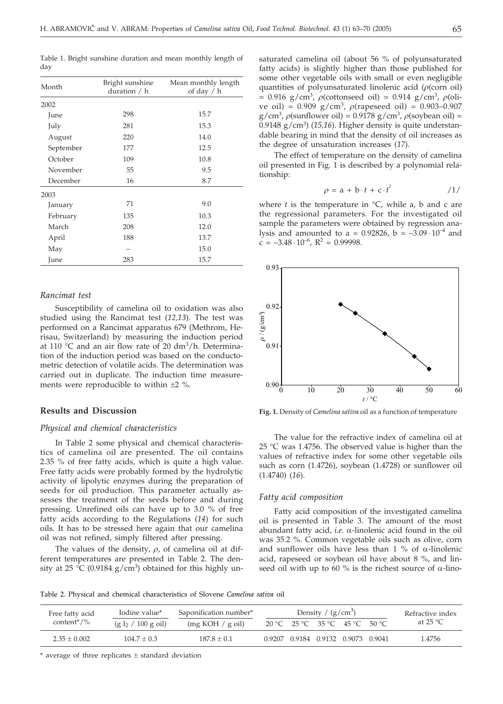Table 1. Bright sunshine duration and mean monthly length of day

| Month     | Bright sunshine<br>duration / h | Mean monthly length<br>of day $/ h$ |  |
|-----------|---------------------------------|-------------------------------------|--|
| 2002      |                                 |                                     |  |
| June      | 298                             | 15.7                                |  |
| July      | 281                             | 15.3                                |  |
| August    | 220                             | 14.0                                |  |
| September | 177                             | 12.5                                |  |
| October   | 109                             | 10.8                                |  |
| November  | 55                              | 9.5                                 |  |
| December  | 16                              | 8.7                                 |  |
| 2003      |                                 |                                     |  |
| January   | 71                              | 9.0                                 |  |
| February  | 135                             | 10.3                                |  |
| March     | 208                             | 12.0                                |  |
| April     | 188                             | 13.7                                |  |
| May       |                                 | 15.0                                |  |
| June      | 283                             | 15.7                                |  |

#### *Rancimat test*

Susceptibility of camelina oil to oxidation was also studied using the Rancimat test (*12,13*). The test was performed on a Rancimat apparatus 679 (Methrom, Herisau, Switzerland) by measuring the induction period at 110  $\degree$ C and an air flow rate of 20 dm<sup>3</sup>/h. Determination of the induction period was based on the conductometric detection of volatile acids. The determination was carried out in duplicate. The induction time measurements were reproducible to within  $\pm 2$  %.

# **Results and Discussion**

# *Physical and chemical characteristics*

In Table 2 some physical and chemical characteristics of camelina oil are presented. The oil contains 2.35 % of free fatty acids, which is quite a high value. Free fatty acids were probably formed by the hydrolytic activity of lipolytic enzymes during the preparation of seeds for oil production. This parameter actually assesses the treatment of the seeds before and during pressing. Unrefined oils can have up to 3.0 % of free fatty acids according to the Regulations (*14*) for such oils. It has to be stressed here again that our camelina oil was not refined, simply filtered after pressing.

The values of the density,  $\rho$ , of camelina oil at different temperatures are presented in Table 2. The density at 25 °C (0.9184  $g/cm<sup>3</sup>$ ) obtained for this highly unsaturated camelina oil (about 56 % of polyunsaturated fatty acids) is slightly higher than those published for some other vegetable oils with small or even negligible quantities of polyunsaturated linolenic acid  $(\rho(\text{corn oil})$  $= 0.916$  g/cm<sup>3</sup>,  $\rho$ (cottonseed oil) = 0.914 g/cm<sup>3</sup>,  $\rho$ (olive oil) =  $0.909$  g/cm<sup>3</sup>,  $\rho$ (rapeseed oil) =  $0.903 - 0.907$  $g/cm^3$ ,  $\rho$ (sunflower oil) = 0.9178  $g/cm^3$ ,  $\rho$ (soybean oil) = 0.9148 g/cm3) (*15,16*). Higher density is quite understandable bearing in mind that the density of oil increases as the degree of unsaturation increases (*17*).

The effect of temperature on the density of camelina oil presented in Fig. 1 is described by a polynomial relationship:

$$
\rho = a + b \cdot t + c \cdot t^2 \qquad \qquad /1/
$$

where  $t$  is the temperature in  $\mathrm{C}$ , while a, b and c are the regressional parameters. For the investigated oil sample the parameters were obtained by regression analysis and amounted to a = 0.92826, b =  $-3.09 \cdot 10^{-4}$  and  $c = -3.48 \cdot 10^{-6}$ ,  $R^2 = 0.99998$ .



**Fig. 1.** Density of *Camelina sativa* oil as a function of temperature

The value for the refractive index of camelina oil at 25 °C was 1.4756. The observed value is higher than the values of refractive index for some other vegetable oils such as corn (1.4726), soybean (1.4728) or sunflower oil (1.4740) (*16*).

#### *Fatty acid composition*

Fatty acid composition of the investigated camelina oil is presented in Table 3. The amount of the most abundant fatty acid, *i.e.*  $\alpha$ -linolenic acid found in the oil was 35.2 %. Common vegetable oils such as olive, corn and sunflower oils have less than 1 % of  $\alpha$ -linolenic acid, rapeseed or soybean oil have about 8 %, and linseed oil with up to 60 % is the richest source of  $\alpha$ -lino-

Table 2. Physical and chemical characteristics of Slovene *Camelina sativa* oil

| Free fatty acid             | Iodine value*         | Saponification number* |  | Density / $(g/cm^3)$ |  |                                    |  | Refractive index   |
|-----------------------------|-----------------------|------------------------|--|----------------------|--|------------------------------------|--|--------------------|
| content <sup>*</sup> / $\%$ | $(g I_2 / 100 g oil)$ | (mg KOH / g oil)       |  |                      |  | 20 °C 25 °C 35 °C 45 °C 50 °C      |  | at 25 $^{\circ}$ C |
| $2.35 \pm 0.002$            | $104.7 \pm 0.3$       | $187.8 + 0.1$          |  |                      |  | 0.9207 0.9184 0.9132 0.9073 0.9041 |  | 1.4756             |

 $^*$  average of three replicates  $\pm$  standard deviation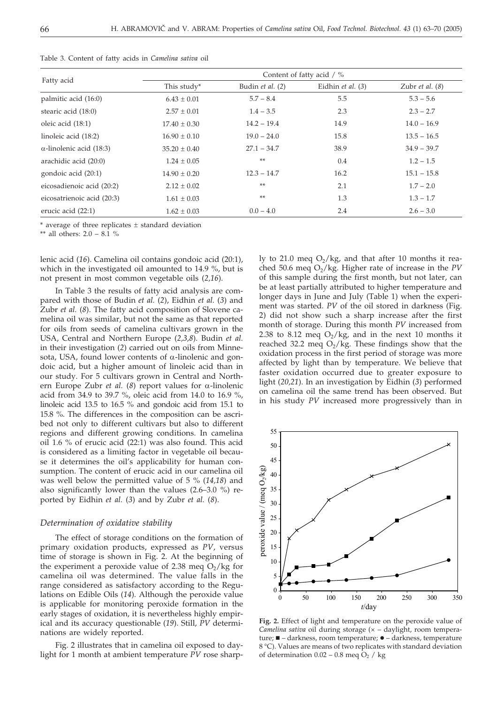| Fatty acid                      | Content of fatty acid / % |                  |                   |                          |  |
|---------------------------------|---------------------------|------------------|-------------------|--------------------------|--|
|                                 | This study*               | Budin et al. (2) | Eidhin et al. (3) | Zubr <i>et al.</i> $(8)$ |  |
| palmitic acid (16:0)            | $6.43 \pm 0.01$           | $5.7 - 8.4$      | 5.5               | $5.3 - 5.6$              |  |
| stearic acid (18:0)             | $2.57 \pm 0.01$           | $1.4 - 3.5$      | 2.3               | $2.3 - 2.7$              |  |
| oleic acid (18:1)               | $17.40 \pm 0.30$          | $14.2 - 19.4$    | 14.9              | $14.0 - 16.9$            |  |
| linoleic acid (18:2)            | $16.90 \pm 0.10$          | $19.0 - 24.0$    | 15.8              | $13.5 - 16.5$            |  |
| $\alpha$ -linolenic acid (18:3) | $35.20 \pm 0.40$          | $27.1 - 34.7$    | 38.9              | $34.9 - 39.7$            |  |
| arachidic acid (20:0)           | $1.24 \pm 0.05$           | **               | 0.4               | $1.2 - 1.5$              |  |
| gondoic acid (20:1)             | $14.90 \pm 0.20$          | $12.3 - 14.7$    | 16.2              | $15.1 - 15.8$            |  |
| eicosadienoic acid (20:2)       | $2.12 \pm 0.02$           | **               | 2.1               | $1.7 - 2.0$              |  |
| eicosatrienoic acid (20:3)      | $1.61 \pm 0.03$           | **               | 1.3               | $1.3 - 1.7$              |  |
| erucic acid (22:1)              | $1.62 \pm 0.03$           | $0.0 - 4.0$      | 2.4               | $2.6 - 3.0$              |  |

Table 3. Content of fatty acids in *Camelina sativa* oil

 $*$  average of three replicates  $\pm$  standard deviation

\*\* all others: 2.0 – 8.1 %

lenic acid (*16*). Camelina oil contains gondoic acid (20:1), which in the investigated oil amounted to 14.9 %, but is not present in most common vegetable oils (*2,16*).

In Table 3 the results of fatty acid analysis are compared with those of Budin *et al.* (*2*), Eidhin *et al.* (*3*) and Zubr *et al.* (*8*). The fatty acid composition of Slovene camelina oil was similar, but not the same as that reported for oils from seeds of camelina cultivars grown in the USA, Central and Northern Europe (*2,3,8*). Budin *et al.* in their investigation (*2*) carried out on oils from Minnesota, USA, found lower contents of  $\alpha$ -linolenic and gondoic acid, but a higher amount of linoleic acid than in our study. For 5 cultivars grown in Central and Northern Europe Zubr *et al.* (8) report values for  $\alpha$ -linolenic acid from 34.9 to 39.7 %, oleic acid from 14.0 to 16.9 %, linoleic acid 13.5 to 16.5 % and gondoic acid from 15.1 to 15.8 %. The differences in the composition can be ascribed not only to different cultivars but also to different regions and different growing conditions. In camelina oil 1.6 % of erucic acid (22:1) was also found. This acid is considered as a limiting factor in vegetable oil because it determines the oil's applicability for human consumption. The content of erucic acid in our camelina oil was well below the permitted value of 5 % (*14,18*) and also significantly lower than the values (2.6–3.0 %) reported by Eidhin *et al.* (*3*) and by Zubr *et al.* (*8*).

# *Determination of oxidative stability*

The effect of storage conditions on the formation of primary oxidation products, expressed as *PV*, versus time of storage is shown in Fig. 2. At the beginning of the experiment a peroxide value of 2.38 meg  $O_2/kg$  for camelina oil was determined. The value falls in the range considered as satisfactory according to the Regulations on Edible Oils (*14*). Although the peroxide value is applicable for monitoring peroxide formation in the early stages of oxidation, it is nevertheless highly empirical and its accuracy questionable (*19*). Still, *PV* determinations are widely reported.

Fig. 2 illustrates that in camelina oil exposed to daylight for 1 month at ambient temperature *PV* rose sharply to 21.0 meq  $O_2/kg$ , and that after 10 months it reached 50.6 meq  $O_2/kg$ . Higher rate of increase in the  $PV$ of this sample during the first month, but not later, can be at least partially attributed to higher temperature and longer days in June and July (Table 1) when the experiment was started. *PV* of the oil stored in darkness (Fig. 2) did not show such a sharp increase after the first month of storage. During this month *PV* increased from 2.38 to 8.12 meq  $O_2/kg$ , and in the next 10 months it reached 32.2 meq  $O_2/kg$ . These findings show that the oxidation process in the first period of storage was more affected by light than by temperature. We believe that faster oxidation occurred due to greater exposure to light (*20,21*). In an investigation by Eidhin (*3*) performed on camelina oil the same trend has been observed. But in his study *PV* increased more progressively than in



**Fig. 2.** Effect of light and temperature on the peroxide value of *Camelina sativa* oil during storage (x - daylight, room temperature;  $\blacksquare$  - darkness, room temperature;  $\blacklozenge$  - darkness, temperature 8 °C). Values are means of two replicates with standard deviation of determination  $0.02 - 0.8$  meq  $O<sub>2</sub>$  / kg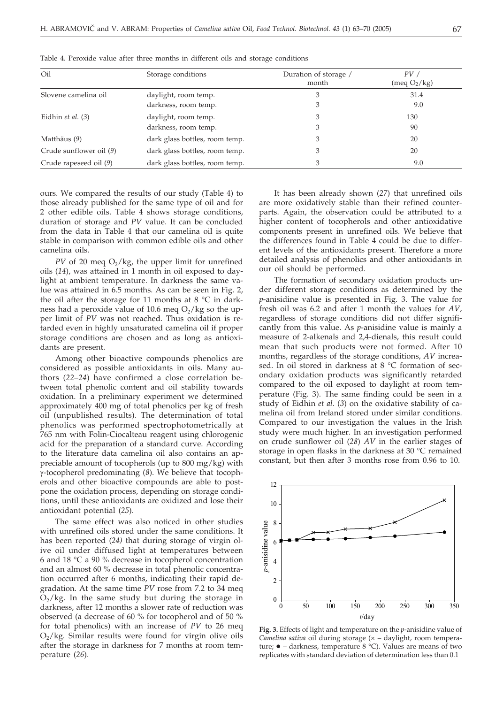| Table 4. Peroxide value after three months in different oils and storage conditions |                                |                                |                                 |  |  |  |
|-------------------------------------------------------------------------------------|--------------------------------|--------------------------------|---------------------------------|--|--|--|
| Oil                                                                                 | Storage conditions             | Duration of storage /<br>month | PV/<br>(meq O <sub>2</sub> /kg) |  |  |  |
| Slovene camelina oil                                                                | daylight, room temp.           | З                              | 31.4                            |  |  |  |
|                                                                                     | darkness, room temp.           | 3                              | 9.0                             |  |  |  |
| Eidhin et al. (3)                                                                   | daylight, room temp.           | 3                              | 130                             |  |  |  |
|                                                                                     | darkness, room temp.           | 3                              | 90                              |  |  |  |
| Matthäus (9)                                                                        | dark glass bottles, room temp. | 3                              | 20                              |  |  |  |
| Crude sunflower oil (9)                                                             | dark glass bottles, room temp. | 3                              | 20                              |  |  |  |
| Crude rapeseed oil (9)                                                              | dark glass bottles, room temp. |                                | 9.0                             |  |  |  |

ours. We compared the results of our study (Table 4) to those already published for the same type of oil and for 2 other edible oils. Table 4 shows storage conditions, duration of storage and *PV* value. It can be concluded from the data in Table 4 that our camelina oil is quite stable in comparison with common edible oils and other camelina oils.

*PV* of 20 meq  $O<sub>2</sub>/kg$ , the upper limit for unrefined oils (*14*), was attained in 1 month in oil exposed to daylight at ambient temperature. In darkness the same value was attained in 6.5 months. As can be seen in Fig. 2, the oil after the storage for 11 months at 8  $\degree$ C in darkness had a peroxide value of 10.6 meq  $O_2/kg$  so the upper limit of *PV* was not reached. Thus oxidation is retarded even in highly unsaturated camelina oil if proper storage conditions are chosen and as long as antioxidants are present.

Among other bioactive compounds phenolics are considered as possible antioxidants in oils. Many authors (*22*–*24*) have confirmed a close correlation between total phenolic content and oil stability towards oxidation. In a preliminary experiment we determined approximately 400 mg of total phenolics per kg of fresh oil (unpublished results). The determination of total phenolics was performed spectrophotometrically at 765 nm with Folin-Ciocalteau reagent using chlorogenic acid for the preparation of a standard curve. According to the literature data camelina oil also contains an appreciable amount of tocopherols (up to 800 mg/kg) with -tocopherol predominating (*8*). We believe that tocopherols and other bioactive compounds are able to postpone the oxidation process, depending on storage conditions, until these antioxidants are oxidized and lose their antioxidant potential (*25*).

The same effect was also noticed in other studies with unrefined oils stored under the same conditions. It has been reported (*24)* that during storage of virgin olive oil under diffused light at temperatures between 6 and 18 °C a 90 % decrease in tocopherol concentration and an almost 60 % decrease in total phenolic concentration occurred after 6 months, indicating their rapid degradation. At the same time *PV* rose from 7.2 to 34 meq  $O<sub>2</sub>/kg$ . In the same study but during the storage in darkness, after 12 months a slower rate of reduction was observed (a decrease of 60 % for tocopherol and of 50 % for total phenolics) with an increase of *PV* to 26 meq  $O<sub>2</sub>/kg$ . Similar results were found for virgin olive oils after the storage in darkness for 7 months at room temperature (*26*).

It has been already shown (*27*) that unrefined oils are more oxidatively stable than their refined counterparts. Again, the observation could be attributed to a higher content of tocopherols and other antioxidative components present in unrefined oils. We believe that the differences found in Table 4 could be due to different levels of the antioxidants present. Therefore a more detailed analysis of phenolics and other antioxidants in our oil should be performed.

The formation of secondary oxidation products under different storage conditions as determined by the *p*-anisidine value is presented in Fig. 3. The value for fresh oil was 6.2 and after 1 month the values for *AV,* regardless of storage conditions did not differ significantly from this value. As *p*-anisidine value is mainly a measure of 2-alkenals and 2,4-dienals, this result could mean that such products were not formed. After 10 months, regardless of the storage conditions, *AV* increased. In oil stored in darkness at 8 °C formation of secondary oxidation products was significantly retarded compared to the oil exposed to daylight at room temperature (Fig. 3). The same finding could be seen in a study of Eidhin *et al.* (*3*) on the oxidative stability of camelina oil from Ireland stored under similar conditions. Compared to our investigation the values in the Irish study were much higher. In an investigation performed on crude sunflower oil (*28*) *AV* in the earlier stages of storage in open flasks in the darkness at 30 °C remained constant, but then after 3 months rose from 0.96 to 10.



**Fig. 3.** Effects of light and temperature on the *p*-anisidine value of *Camelina sativa* oil during storage (x - daylight, room temperature; ● - darkness, temperature 8 °C). Values are means of two replicates with standard deviation of determination less than 0.1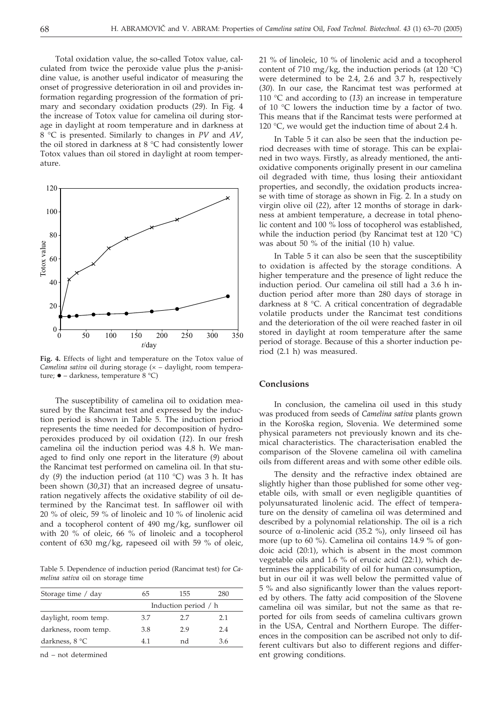Total oxidation value, the so-called Totox value, calculated from twice the peroxide value plus the *p*-anisidine value, is another useful indicator of measuring the onset of progressive deterioration in oil and provides information regarding progression of the formation of primary and secondary oxidation products (*29*). In Fig. 4 the increase of Totox value for camelina oil during storage in daylight at room temperature and in darkness at 8 °C is presented. Similarly to changes in *PV* and *AV*, the oil stored in darkness at 8 °C had consistently lower Totox values than oil stored in daylight at room temperature.



**Fig. 4.** Effects of light and temperature on the Totox value of *Camelina sativa* oil during storage (x - daylight, room temperature; • – darkness, temperature 8 °C)

The susceptibility of camelina oil to oxidation measured by the Rancimat test and expressed by the induction period is shown in Table 5. The induction period represents the time needed for decomposition of hydroperoxides produced by oil oxidation (*12*). In our fresh camelina oil the induction period was 4.8 h. We managed to find only one report in the literature (*9*) about the Rancimat test performed on camelina oil. In that study (*9*) the induction period (at 110 °C) was 3 h. It has been shown (*30*,*31*) that an increased degree of unsaturation negatively affects the oxidative stability of oil determined by the Rancimat test. In safflower oil with 20 % of oleic, 59 % of linoleic and 10 % of linolenic acid and a tocopherol content of 490 mg/kg, sunflower oil with 20 % of oleic, 66 % of linoleic and a tocopherol content of 630 mg/kg, rapeseed oil with 59 % of oleic,

Table 5. Dependence of induction period (Rancimat test) for *Camelina sativa* oil on storage time

| Storage time / day   | 65                   | 155 | 280 |  |  |
|----------------------|----------------------|-----|-----|--|--|
|                      | Induction period / h |     |     |  |  |
| daylight, room temp. | 3.7                  | 2.7 | 2.1 |  |  |
| darkness, room temp. | 3.8                  | 2.9 | 2.4 |  |  |
| darkness, $8 °C$     | 41                   | nd  | 3.6 |  |  |
|                      |                      |     |     |  |  |

nd – not determined

21 % of linoleic, 10 % of linolenic acid and a tocopherol content of 710 mg/kg, the induction periods (at 120  $^{\circ}$ C) were determined to be 2.4, 2.6 and 3.7 h, respectively (*30*). In our case, the Rancimat test was performed at 110 °C and according to (*13*) an increase in temperature of 10 °C lowers the induction time by a factor of two. This means that if the Rancimat tests were performed at 120  $\degree$ C, we would get the induction time of about 2.4 h.

In Table 5 it can also be seen that the induction period decreases with time of storage. This can be explained in two ways. Firstly, as already mentioned, the antioxidative components originally present in our camelina oil degraded with time, thus losing their antioxidant properties, and secondly, the oxidation products increase with time of storage as shown in Fig. 2. In a study on virgin olive oil (*22*), after 12 months of storage in darkness at ambient temperature, a decrease in total phenolic content and 100 % loss of tocopherol was established, while the induction period (by Rancimat test at 120 °C) was about 50 % of the initial (10 h) value.

In Table 5 it can also be seen that the susceptibility to oxidation is affected by the storage conditions. A higher temperature and the presence of light reduce the induction period. Our camelina oil still had a 3.6 h induction period after more than 280 days of storage in darkness at 8 °C. A critical concentration of degradable volatile products under the Rancimat test conditions and the deterioration of the oil were reached faster in oil stored in daylight at room temperature after the same period of storage. Because of this a shorter induction period (2.1 h) was measured.

# **Conclusions**

In conclusion, the camelina oil used in this study was produced from seeds of *Camelina sativa* plants grown in the Koroška region, Slovenia. We determined some physical parameters not previously known and its chemical characteristics. The characterisation enabled the comparison of the Slovene camelina oil with camelina oils from different areas and with some other edible oils.

The density and the refractive index obtained are slightly higher than those published for some other vegetable oils, with small or even negligible quantities of polyunsaturated linolenic acid. The effect of temperature on the density of camelina oil was determined and described by a polynomial relationship. The oil is a rich source of  $\alpha$ -linolenic acid (35.2 %), only linseed oil has more (up to 60 %). Camelina oil contains 14.9 % of gondoic acid (20:1), which is absent in the most common vegetable oils and 1.6 % of erucic acid (22:1), which determines the applicability of oil for human consumption, but in our oil it was well below the permitted value of 5 % and also significantly lower than the values reported by others. The fatty acid composition of the Slovene camelina oil was similar, but not the same as that reported for oils from seeds of camelina cultivars grown in the USA, Central and Northern Europe. The differences in the composition can be ascribed not only to different cultivars but also to different regions and different growing conditions.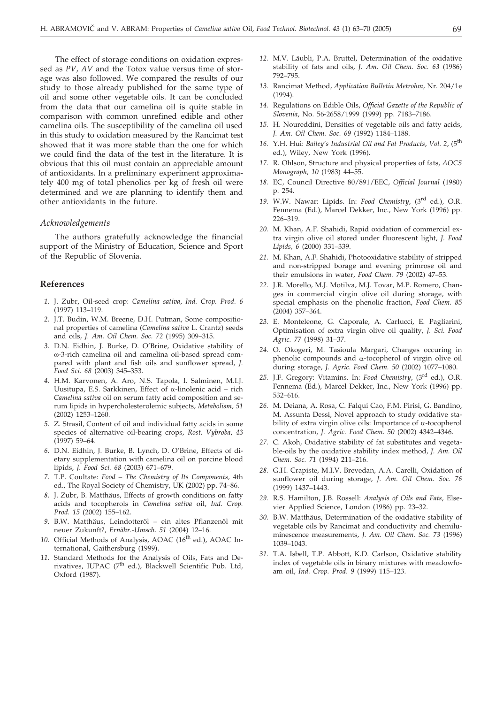The effect of storage conditions on oxidation expressed as *PV*, *AV* and the Totox value versus time of storage was also followed. We compared the results of our study to those already published for the same type of oil and some other vegetable oils. It can be concluded from the data that our camelina oil is quite stable in comparison with common unrefined edible and other camelina oils. The susceptibility of the camelina oil used in this study to oxidation measured by the Rancimat test showed that it was more stable than the one for which we could find the data of the test in the literature. It is obvious that this oil must contain an appreciable amount of antioxidants. In a preliminary experiment approximately 400 mg of total phenolics per kg of fresh oil were determined and we are planning to identify them and other antioxidants in the future.

# *Acknowledgements*

The authors gratefully acknowledge the financial support of the Ministry of Education, Science and Sport of the Republic of Slovenia.

# **References**

- *1.* J. Zubr, Oil-seed crop: *Camelina sativa*, *Ind. Crop. Prod. 6* (1997) 113–119.
- *2.* J.T. Budin, W.M. Breene, D.H. Putman, Some compositional properties of camelina (*Camelina sativa* L. Crantz) seeds and oils, *J. Am. Oil Chem. Soc. 72* (1995) 309–315.
- *3.* D.N. Eidhin, J. Burke, D. O'Brine, Oxidative stability of -3-rich camelina oil and camelina oil-based spread compared with plant and fish oils and sunflower spread, *J. Food Sci. 68* (2003) 345–353.
- *4.* H.M. Karvonen, A. Aro, N.S. Tapola, I. Salminen, M.I.J. Uusitupa, E.S. Sarkkinen, Effect of  $\alpha$ -linolenic acid – rich *Camelina sativa* oil on serum fatty acid composition and serum lipids in hypercholesterolemic subjects, *Metabolism, 51* (2002) 1253–1260.
- *5.* Z. Strasil, Content of oil and individual fatty acids in some species of alternative oil-bearing crops, *Rost. Vybroba*, *43* (1997) 59–64.
- *6.* D.N. Eidhin, J. Burke, B. Lynch, D. O'Brine, Effects of dietary supplementation with camelina oil on porcine blood lipids, *J. Food Sci. 68* (2003) 671–679.
- *7.* T.P. Coultate: *Food The Chemistry of Its Components,* 4th ed., The Royal Society of Chemistry, UK (2002) pp. 74–86.
- *8.* J. Zubr, B. Matthäus, Effects of growth conditions on fatty acids and tocopherols in *Camelina sativa* oil, *Ind. Crop. Prod. 15* (2002) 155–162.
- *9.* B.W. Matthäus, Leindotteröl ein altes Pflanzenöl mit neuer Zukunft?, *Ernähr.-Umsch. 51* (2004) 12–16.
- 10. Official Methods of Analysis, AOAC (16<sup>th</sup> ed.), AOAC International, Gaithersburg (1999).
- *11.* Standard Methods for the Analysis of Oils, Fats and Derivatives, IUPAC (7<sup>th</sup> ed.), Blackwell Scientific Pub. Ltd, Oxford (1987).
- *12.* M.V. Läubli, P.A. Bruttel, Determination of the oxidative stability of fats and oils, *J. Am. Oil Chem. Soc. 63* (1986) 792–795.
- *13.* Rancimat Method, *Application Bulletin Metrohm*, Nr. 204/1e (1994).
- *14.* Regulations on Edible Oils, *Official Gazette of the Republic of Slovenia*, No. 56-2658/1999 (1999) pp. 7183–7186.
- *15.* H. Noureddini, Densities of vegetable oils and fatty acids, *J. Am. Oil Chem. Soc. 69* (1992) 1184–1188.
- *16.* Y.H. Hui: *Bailey's Industrial Oil and Fat Products*, *Vol. 2*, (5th ed.), Wiley, New York (1996).
- *17.* R. Ohlson, Structure and physical properties of fats, *AOCS Monograph*, *10* (1983) 44–55.
- *18.* EC, Council Directive 80/891/EEC, *Official Journal* (1980) p. 254.
- *19.* W.W. Nawar: Lipids. In: *Food Chemistry*, (3rd ed.), O.R. Fennema (Ed.), Marcel Dekker, Inc., New York (1996) pp. 226–319.
- *20.* M. Khan, A.F. Shahidi, Rapid oxidation of commercial extra virgin olive oil stored under fluorescent light, *J. Food Lipids, 6* (2000) 331–339.
- *21.* M. Khan, A.F. Shahidi, Photooxidative stability of stripped and non-stripped borage and evening primrose oil and their emulsions in water, *Food Chem. 79* (2002) 47–53.
- *22.* J.R. Morello, M.J. Motilva, M.J. Tovar, M.P. Romero, Changes in commercial virgin olive oil during storage, with special emphasis on the phenolic fraction, *Food Chem. 85* (2004) 357–364.
- *23.* E. Monteleone, G. Caporale, A. Carlucci, E. Pagliarini, Optimisation of extra virgin olive oil quality, *J. Sci. Food Agric. 77* (1998) 31–37.
- *24.* O. Okogeri, M. Tasioula Margari, Changes occuring in phenolic compounds and  $\alpha$ -tocopherol of virgin olive oil during storage, *J. Agric. Food Chem. 50* (2002) 1077–1080.
- *25.* J.F. Gregory: Vitamins. In: *Food Chemistry*, (3rd ed.), O.R. Fennema (Ed.), Marcel Dekker, Inc., New York (1996) pp. 532–616.
- *26.* M. Deiana, A. Rosa, C. Falqui Cao, F.M. Pirisi, G. Bandino, M. Assunta Dessi, Novel approach to study oxidative stability of extra virgin olive oils: Importance of  $\alpha$ -tocopherol concentration, *J. Agric. Food Chem. 50* (2002) 4342–4346.
- *27.* C. Akoh, Oxidative stability of fat substitutes and vegetable-oils by the oxidative stability index method, *J. Am. Oil Chem. Soc. 71* (1994) 211–216.
- *28.* G.H. Crapiste, M.I.V. Brevedan, A.A. Carelli, Oxidation of sunflower oil during storage, *J. Am. Oil Chem. Soc. 76* (1999) 1437–1443.
- *29.* R.S. Hamilton, J.B. Rossell: *Analysis of Oils and Fats*, Elsevier Applied Science, London (1986) pp. 23–32.
- *30.* B.W. Matthäus, Determination of the oxidative stability of vegetable oils by Rancimat and conductivity and chemiluminescence measurements, *J. Am. Oil Chem. Soc. 73* (1996) 1039–1043.
- *31.* T.A. Isbell, T.P. Abbott, K.D. Carlson, Oxidative stability index of vegetable oils in binary mixtures with meadowfoam oil, *Ind. Crop. Prod. 9* (1999) 115–123.